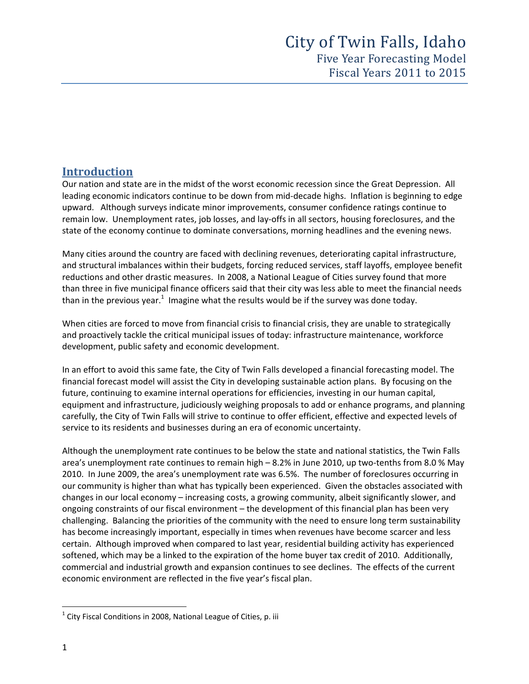# **Introduction**

Our nation and state are in the midst of the worst economic recession since the Great Depression. All leading economic indicators continue to be down from mid‐decade highs. Inflation is beginning to edge upward. Although surveys indicate minor improvements, consumer confidence ratings continue to remain low. Unemployment rates, job losses, and lay‐offs in all sectors, housing foreclosures, and the state of the economy continue to dominate conversations, morning headlines and the evening news.

Many cities around the country are faced with declining revenues, deteriorating capital infrastructure, and structural imbalances within their budgets, forcing reduced services, staff layoffs, employee benefit reductions and other drastic measures. In 2008, a National League of Cities survey found that more than three in five municipal finance officers said that their city was less able to meet the financial needs than in the previous year.<sup>1</sup> Imagine what the results would be if the survey was done today.

When cities are forced to move from financial crisis to financial crisis, they are unable to strategically and proactively tackle the critical municipal issues of today: infrastructure maintenance, workforce development, public safety and economic development.

In an effort to avoid this same fate, the City of Twin Falls developed a financial forecasting model. The financial forecast model will assist the City in developing sustainable action plans. By focusing on the future, continuing to examine internal operations for efficiencies, investing in our human capital, equipment and infrastructure, judiciously weighing proposals to add or enhance programs, and planning carefully, the City of Twin Falls will strive to continue to offer efficient, effective and expected levels of service to its residents and businesses during an era of economic uncertainty.

Although the unemployment rate continues to be below the state and national statistics, the Twin Falls area's unemployment rate continues to remain high – 8.2% in June 2010, up two-tenths from 8.0 % May 2010. In June 2009, the area's unemployment rate was 6.5%. The number of foreclosures occurring in our community is higher than what has typically been experienced. Given the obstacles associated with changes in our local economy – increasing costs, a growing community, albeit significantly slower, and ongoing constraints of our fiscal environment – the development of this financial plan has been very challenging. Balancing the priorities of the community with the need to ensure long term sustainability has become increasingly important, especially in times when revenues have become scarcer and less certain. Although improved when compared to last year, residential building activity has experienced softened, which may be a linked to the expiration of the home buyer tax credit of 2010. Additionally, commercial and industrial growth and expansion continues to see declines. The effects of the current economic environment are reflected in the five year's fiscal plan.

 $1$  City Fiscal Conditions in 2008, National League of Cities, p. iii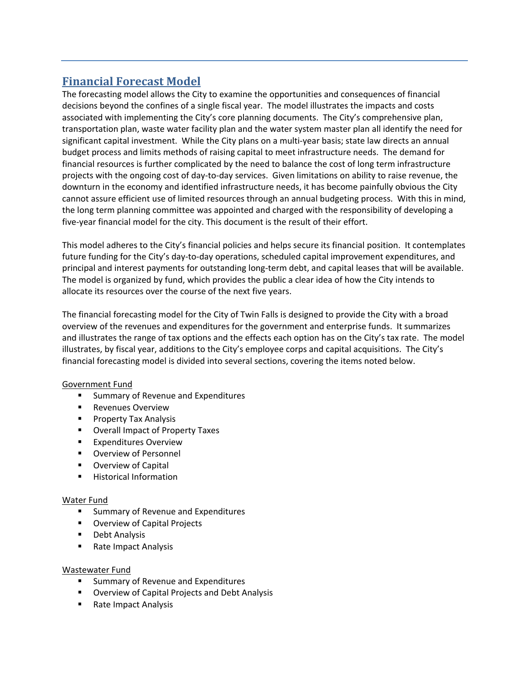# **Financial Forecast Model**

The forecasting model allows the City to examine the opportunities and consequences of financial decisions beyond the confines of a single fiscal year. The model illustrates the impacts and costs associated with implementing the City's core planning documents. The City's comprehensive plan, transportation plan, waste water facility plan and the water system master plan all identify the need for significant capital investment. While the City plans on a multi‐year basis; state law directs an annual budget process and limits methods of raising capital to meet infrastructure needs. The demand for financial resources is further complicated by the need to balance the cost of long term infrastructure projects with the ongoing cost of day-to-day services. Given limitations on ability to raise revenue, the downturn in the economy and identified infrastructure needs, it has become painfully obvious the City cannot assure efficient use of limited resources through an annual budgeting process. With this in mind, the long term planning committee was appointed and charged with the responsibility of developing a five‐year financial model for the city. This document is the result of their effort.

This model adheres to the City's financial policies and helps secure its financial position. It contemplates future funding for the City's day-to-day operations, scheduled capital improvement expenditures, and principal and interest payments for outstanding long‐term debt, and capital leases that will be available. The model is organized by fund, which provides the public a clear idea of how the City intends to allocate its resources over the course of the next five years.

The financial forecasting model for the City of Twin Falls is designed to provide the City with a broad overview of the revenues and expenditures for the government and enterprise funds. It summarizes and illustrates the range of tax options and the effects each option has on the City's tax rate. The model illustrates, by fiscal year, additions to the City's employee corps and capital acquisitions. The City's financial forecasting model is divided into several sections, covering the items noted below.

# Government Fund

- **Summary of Revenue and Expenditures**
- **Revenues Overview**
- **Property Tax Analysis**
- **Overall Impact of Property Taxes**
- **Expenditures Overview**
- **Overview of Personnel**
- **Overview of Capital**
- **Historical Information**

# Water Fund

- **E** Summary of Revenue and Expenditures
- **Overview of Capital Projects**
- **Debt Analysis**
- Rate Impact Analysis

# Wastewater Fund

- **Summary of Revenue and Expenditures**
- Overview of Capital Projects and Debt Analysis
- Rate Impact Analysis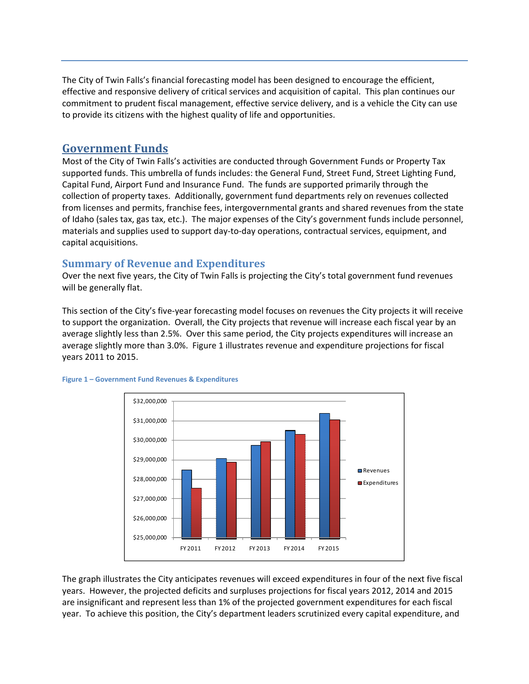The City of Twin Falls's financial forecasting model has been designed to encourage the efficient, effective and responsive delivery of critical services and acquisition of capital. This plan continues our commitment to prudent fiscal management, effective service delivery, and is a vehicle the City can use to provide its citizens with the highest quality of life and opportunities.

# **Government Funds**

Most of the City of Twin Falls's activities are conducted through Government Funds or Property Tax supported funds. This umbrella of funds includes: the General Fund, Street Fund, Street Lighting Fund, Capital Fund, Airport Fund and Insurance Fund. The funds are supported primarily through the collection of property taxes. Additionally, government fund departments rely on revenues collected from licenses and permits, franchise fees, intergovernmental grants and shared revenues from the state of Idaho (sales tax, gas tax, etc.). The major expenses of the City's government funds include personnel, materials and supplies used to support day‐to‐day operations, contractual services, equipment, and capital acquisitions.

# **Summary of Revenue and Expenditures**

Over the next five years, the City of Twin Falls is projecting the City's total government fund revenues will be generally flat.

This section of the City's five-year forecasting model focuses on revenues the City projects it will receive to support the organization. Overall, the City projects that revenue will increase each fiscal year by an average slightly less than 2.5%. Over this same period, the City projects expenditures will increase an average slightly more than 3.0%. Figure 1 illustrates revenue and expenditure projections for fiscal years 2011 to 2015.





The graph illustrates the City anticipates revenues will exceed expenditures in four of the next five fiscal years. However, the projected deficits and surpluses projections for fiscal years 2012, 2014 and 2015 are insignificant and represent less than 1% of the projected government expenditures for each fiscal year. To achieve this position, the City's department leaders scrutinized every capital expenditure, and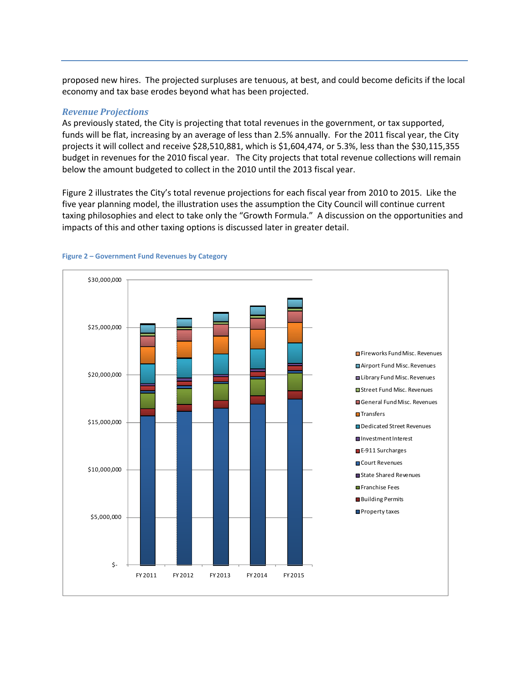proposed new hires. The projected surpluses are tenuous, at best, and could become deficits if the local economy and tax base erodes beyond what has been projected.

#### *Revenue Projections*

As previously stated, the City is projecting that total revenues in the government, or tax supported, funds will be flat, increasing by an average of less than 2.5% annually. For the 2011 fiscal year, the City projects it will collect and receive \$28,510,881, which is \$1,604,474, or 5.3%, less than the \$30,115,355 budget in revenues for the 2010 fiscal year. The City projects that total revenue collections will remain below the amount budgeted to collect in the 2010 until the 2013 fiscal year.

Figure 2 illustrates the City's total revenue projections for each fiscal year from 2010 to 2015. Like the five year planning model, the illustration uses the assumption the City Council will continue current taxing philosophies and elect to take only the "Growth Formula." A discussion on the opportunities and impacts of this and other taxing options is discussed later in greater detail.



#### **Figure 2 – Government Fund Revenues by Category**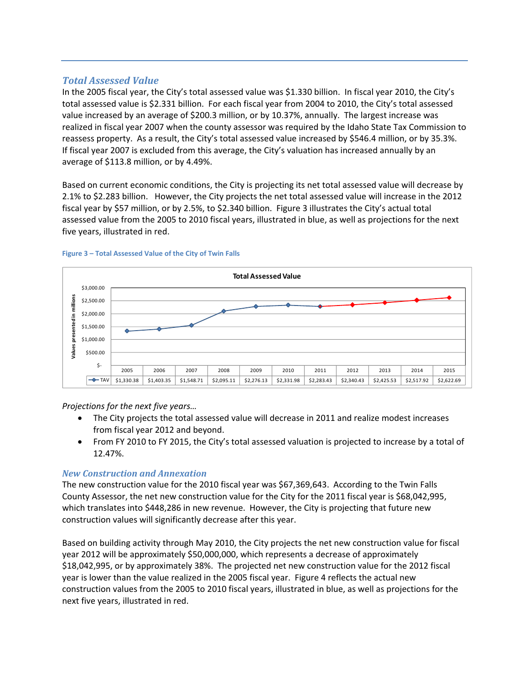# *Total Assessed Value*

In the 2005 fiscal year, the City's total assessed value was \$1.330 billion. In fiscal year 2010, the City's total assessed value is \$2.331 billion. For each fiscal year from 2004 to 2010, the City's total assessed value increased by an average of \$200.3 million, or by 10.37%, annually. The largest increase was realized in fiscal year 2007 when the county assessor was required by the Idaho State Tax Commission to reassess property. As a result, the City's total assessed value increased by \$546.4 million, or by 35.3%. If fiscal year 2007 is excluded from this average, the City's valuation has increased annually by an average of \$113.8 million, or by 4.49%.

Based on current economic conditions, the City is projecting its net total assessed value will decrease by 2.1% to \$2.283 billion. However, the City projects the net total assessed value will increase in the 2012 fiscal year by \$57 million, or by 2.5%, to \$2.340 billion. Figure 3 illustrates the City's actual total assessed value from the 2005 to 2010 fiscal years, illustrated in blue, as well as projections for the next five years, illustrated in red.



#### **Figure 3 – Total Assessed Value of the City of Twin Falls**

*Projections for the next five years…*

- The City projects the total assessed value will decrease in 2011 and realize modest increases from fiscal year 2012 and beyond.
- From FY 2010 to FY 2015, the City's total assessed valuation is projected to increase by a total of 12.47%.

# *New Construction and Annexation*

The new construction value for the 2010 fiscal year was \$67,369,643. According to the Twin Falls County Assessor, the net new construction value for the City for the 2011 fiscal year is \$68,042,995, which translates into \$448,286 in new revenue. However, the City is projecting that future new construction values will significantly decrease after this year.

Based on building activity through May 2010, the City projects the net new construction value for fiscal year 2012 will be approximately \$50,000,000, which represents a decrease of approximately \$18,042,995, or by approximately 38%. The projected net new construction value for the 2012 fiscal year is lower than the value realized in the 2005 fiscal year. Figure 4 reflects the actual new construction values from the 2005 to 2010 fiscal years, illustrated in blue, as well as projections for the next five years, illustrated in red.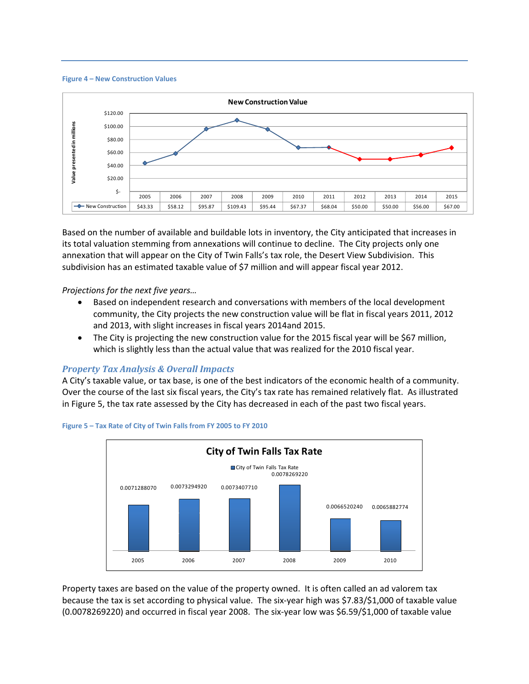



Based on the number of available and buildable lots in inventory, the City anticipated that increases in its total valuation stemming from annexations will continue to decline. The City projects only one annexation that will appear on the City of Twin Falls's tax role, the Desert View Subdivision. This subdivision has an estimated taxable value of \$7 million and will appear fiscal year 2012.

*Projections for the next five years…*

- Based on independent research and conversations with members of the local development community, the City projects the new construction value will be flat in fiscal years 2011, 2012 and 2013, with slight increases in fiscal years 2014and 2015.
- The City is projecting the new construction value for the 2015 fiscal year will be \$67 million, which is slightly less than the actual value that was realized for the 2010 fiscal year.

### *Property Tax Analysis & Overall Impacts*

A City's taxable value, or tax base, is one of the best indicators of the economic health of a community. Over the course of the last six fiscal years, the City's tax rate has remained relatively flat. As illustrated in Figure 5, the tax rate assessed by the City has decreased in each of the past two fiscal years.



**Figure 5 – Tax Rate of City of Twin Falls from FY 2005 to FY 2010**

Property taxes are based on the value of the property owned. It is often called an ad valorem tax because the tax is set according to physical value. The six‐year high was \$7.83/\$1,000 of taxable value (0.0078269220) and occurred in fiscal year 2008. The six‐year low was \$6.59/\$1,000 of taxable value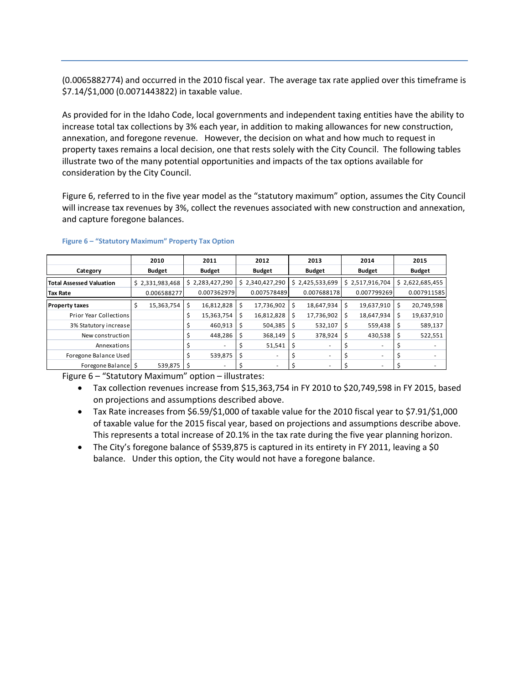(0.0065882774) and occurred in the 2010 fiscal year. The average tax rate applied over this timeframe is \$7.14/\$1,000 (0.0071443822) in taxable value.

As provided for in the Idaho Code, local governments and independent taxing entities have the ability to increase total tax collections by 3% each year, in addition to making allowances for new construction, annexation, and foregone revenue. However, the decision on what and how much to request in property taxes remains a local decision, one that rests solely with the City Council. The following tables illustrate two of the many potential opportunities and impacts of the tax options available for consideration by the City Council.

Figure 6, referred to in the five year model as the "statutory maximum" option, assumes the City Council will increase tax revenues by 3%, collect the revenues associated with new construction and annexation, and capture foregone balances.

|                                 | 2010            |   | 2011            |     | 2012          |     | 2013          |   | 2014            |    | 2015            |
|---------------------------------|-----------------|---|-----------------|-----|---------------|-----|---------------|---|-----------------|----|-----------------|
| Category                        | <b>Budget</b>   |   | <b>Budget</b>   |     | <b>Budget</b> |     | <b>Budget</b> |   | <b>Budget</b>   |    | <b>Budget</b>   |
| <b>Total Assessed Valuation</b> | \$2,331,983,468 |   | \$2,283,427,290 | \$  | 2,340,427,290 | \$  | 2,425,533,699 |   | \$2,517,916,704 |    | \$2,622,685,455 |
| Tax Rate                        | 0.006588277     |   | 0.007362979     |     | 0.007578489   |     | 0.007688178   |   | 0.007799269     |    | 0.007911585     |
| <b>Property taxes</b>           | 15,363,754      | Ś | 16,812,828      | \$  | 17,736,902    | \$  | 18,647,934    | Ś | 19,637,910      | \$ | 20,749,598      |
| Prior Year Collections          |                 |   | 15,363,754      | \$  | 16,812,828    | \$  | 17,736,902    | Ś | 18,647,934      | \$ | 19,637,910      |
| 3% Statutory increase           |                 |   | 460,913         | -\$ | 504,385       | \$. | 532,107       |   | 559,438         | S  | 589,137         |
| New construction                |                 |   | 448,286         | \$  | 368,149       | \$. | 378,924       |   | 430,538         | \$ | 522,551         |
| Annexations                     |                 |   |                 |     | 51,541        | \$  |               |   |                 |    |                 |
| Foregone Balance Used           |                 |   | 539,875         | -\$ |               |     |               |   | ۰.              |    |                 |
| Foregone Balance                | $539,875$ S     |   |                 |     |               |     |               |   |                 |    |                 |

#### **Figure 6 – "Statutory Maximum" Property Tax Option**

Figure 6 – "Statutory Maximum" option – illustrates:

- Tax collection revenues increase from \$15,363,754 in FY 2010 to \$20,749,598 in FY 2015, based on projections and assumptions described above.
- Tax Rate increases from \$6.59/\$1,000 of taxable value for the 2010 fiscal year to \$7.91/\$1,000 of taxable value for the 2015 fiscal year, based on projections and assumptions describe above. This represents a total increase of 20.1% in the tax rate during the five year planning horizon.
- The City's foregone balance of \$539,875 is captured in its entirety in FY 2011, leaving a \$0 balance. Under this option, the City would not have a foregone balance.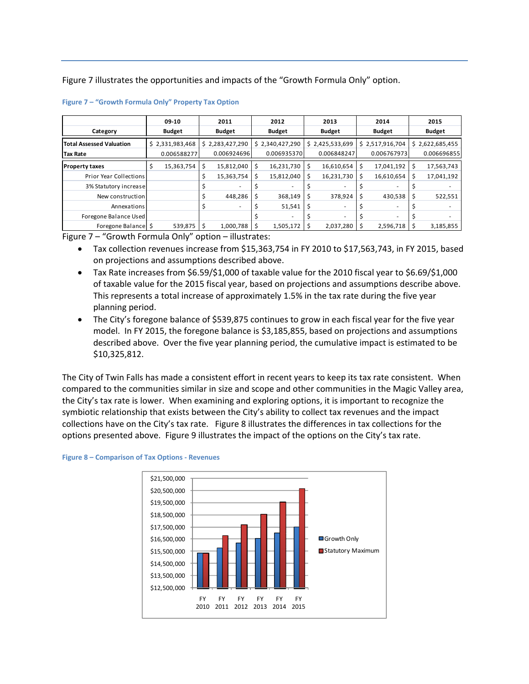Figure 7 illustrates the opportunities and impacts of the "Growth Formula Only" option.

| Category                        | 09-10<br><b>Budget</b> |   | 2011<br><b>Budget</b> |     | 2012<br><b>Budget</b> | 2013<br><b>Budget</b> |    | 2014<br><b>Budget</b> |      | 2015<br><b>Budget</b> |
|---------------------------------|------------------------|---|-----------------------|-----|-----------------------|-----------------------|----|-----------------------|------|-----------------------|
|                                 |                        |   |                       |     |                       |                       |    |                       |      |                       |
| <b>Total Assessed Valuation</b> | \$2,331,983,468        |   | \$2,283,427,290       |     | \$2,340,427,290       | \$2,425,533,699       |    | \$2,517,916,704       |      | \$2,622,685,455       |
| <b>Tax Rate</b>                 | 0.006588277            |   | 0.006924696           |     | 0.006935370           | 0.006848247           |    | 0.006767973           |      | 0.006696855           |
| <b>Property taxes</b>           | 15,363,754<br>S        | S | 15,812,040            | \$  | 16,231,730            | \$<br>16,610,654      | \$ | 17,041,192            | \$   | 17,563,743            |
| <b>Prior Year Collections</b>   |                        |   | 15,363,754            | \$  | 15,812,040            | \$<br>16,231,730      | Ś  | 16,610,654            | \$   | 17,041,192            |
| 3% Statutory increase           |                        |   |                       |     |                       |                       |    |                       |      |                       |
| New construction                |                        |   | 448,286               | \$  | 368,149               | \$<br>378,924         | \$ | 430,538               | 1 \$ | 522,551               |
| Annexations                     |                        |   |                       |     | 51,541                | \$                    |    |                       |      |                       |
| Foregone Balance Used           |                        |   |                       |     |                       |                       |    |                       |      |                       |
| Foregone Balance \$             | 539,875                |   | 1,000,788             | -\$ | 1,505,172             | 2,037,280             |    | $2,596,718$ \$        |      | 3,185,855             |

| Figure 7 - "Growth Formula Only" Property Tax Option |  |  |  |  |  |  |
|------------------------------------------------------|--|--|--|--|--|--|
|------------------------------------------------------|--|--|--|--|--|--|

Figure 7 – "Growth Formula Only" option – illustrates:

- Tax collection revenues increase from \$15,363,754 in FY 2010 to \$17,563,743, in FY 2015, based on projections and assumptions described above.
- Tax Rate increases from \$6.59/\$1,000 of taxable value for the 2010 fiscal year to \$6.69/\$1,000 of taxable value for the 2015 fiscal year, based on projections and assumptions describe above. This represents a total increase of approximately 1.5% in the tax rate during the five year planning period.
- The City's foregone balance of \$539,875 continues to grow in each fiscal year for the five year model. In FY 2015, the foregone balance is \$3,185,855, based on projections and assumptions described above. Over the five year planning period, the cumulative impact is estimated to be \$10,325,812.

The City of Twin Falls has made a consistent effort in recent years to keep its tax rate consistent. When compared to the communities similar in size and scope and other communities in the Magic Valley area, the City's tax rate is lower. When examining and exploring options, it is important to recognize the symbiotic relationship that exists between the City's ability to collect tax revenues and the impact collections have on the City's tax rate. Figure 8 illustrates the differences in tax collections for the options presented above. Figure 9 illustrates the impact of the options on the City's tax rate.



#### **Figure 8 – Comparison of Tax Options ‐ Revenues**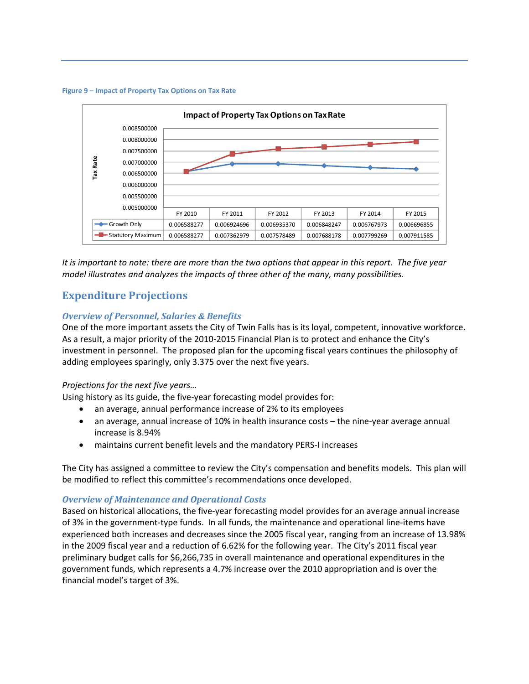#### **Figure 9 – Impact of Property Tax Options on Tax Rate**



It is important to note: there are more than the two options that appear in this report. The five year *model illustrates and analyzes the impacts of three other of the many, many possibilities.*

# **Expenditure Projections**

### *Overview of Personnel, Salaries & Benefits*

One of the more important assets the City of Twin Falls has is its loyal, competent, innovative workforce. As a result, a major priority of the 2010‐2015 Financial Plan is to protect and enhance the City's investment in personnel. The proposed plan for the upcoming fiscal years continues the philosophy of adding employees sparingly, only 3.375 over the next five years.

#### *Projections for the next five years…*

Using history as its guide, the five‐year forecasting model provides for:

- an average, annual performance increase of 2% to its employees
- an average, annual increase of 10% in health insurance costs the nine‐year average annual increase is 8.94%
- maintains current benefit levels and the mandatory PERS‐I increases

The City has assigned a committee to review the City's compensation and benefits models. This plan will be modified to reflect this committee's recommendations once developed.

#### *Overview of Maintenance and Operational Costs*

Based on historical allocations, the five‐year forecasting model provides for an average annual increase of 3% in the government‐type funds. In all funds, the maintenance and operational line‐items have experienced both increases and decreases since the 2005 fiscal year, ranging from an increase of 13.98% in the 2009 fiscal year and a reduction of 6.62% for the following year. The City's 2011 fiscal year preliminary budget calls for \$6,266,735 in overall maintenance and operational expenditures in the government funds, which represents a 4.7% increase over the 2010 appropriation and is over the financial model's target of 3%.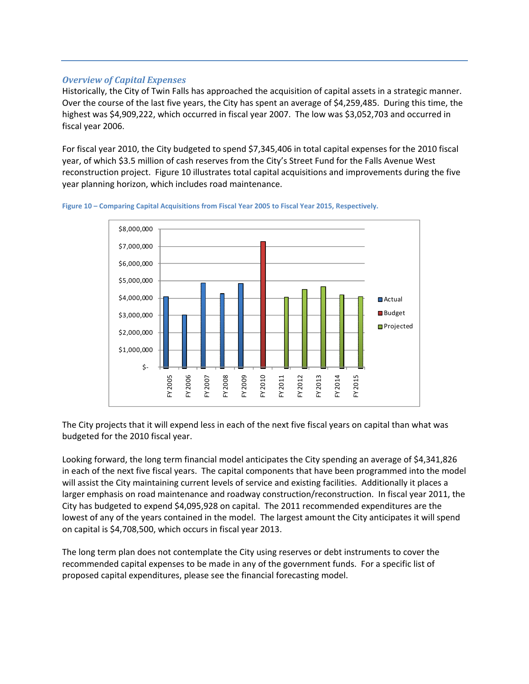### *Overview of Capital Expenses*

Historically, the City of Twin Falls has approached the acquisition of capital assets in a strategic manner. Over the course of the last five years, the City has spent an average of \$4,259,485. During this time, the highest was \$4,909,222, which occurred in fiscal year 2007. The low was \$3,052,703 and occurred in fiscal year 2006.

For fiscal year 2010, the City budgeted to spend \$7,345,406 in total capital expenses for the 2010 fiscal year, of which \$3.5 million of cash reserves from the City's Street Fund for the Falls Avenue West reconstruction project. Figure 10 illustrates total capital acquisitions and improvements during the five year planning horizon, which includes road maintenance.



**Figure 10 – Comparing Capital Acquisitions from Fiscal Year 2005 to Fiscal Year 2015, Respectively.** 

The City projects that it will expend less in each of the next five fiscal years on capital than what was budgeted for the 2010 fiscal year.

Looking forward, the long term financial model anticipates the City spending an average of \$4,341,826 in each of the next five fiscal years. The capital components that have been programmed into the model will assist the City maintaining current levels of service and existing facilities. Additionally it places a larger emphasis on road maintenance and roadway construction/reconstruction. In fiscal year 2011, the City has budgeted to expend \$4,095,928 on capital. The 2011 recommended expenditures are the lowest of any of the years contained in the model. The largest amount the City anticipates it will spend on capital is \$4,708,500, which occurs in fiscal year 2013.

The long term plan does not contemplate the City using reserves or debt instruments to cover the recommended capital expenses to be made in any of the government funds. For a specific list of proposed capital expenditures, please see the financial forecasting model.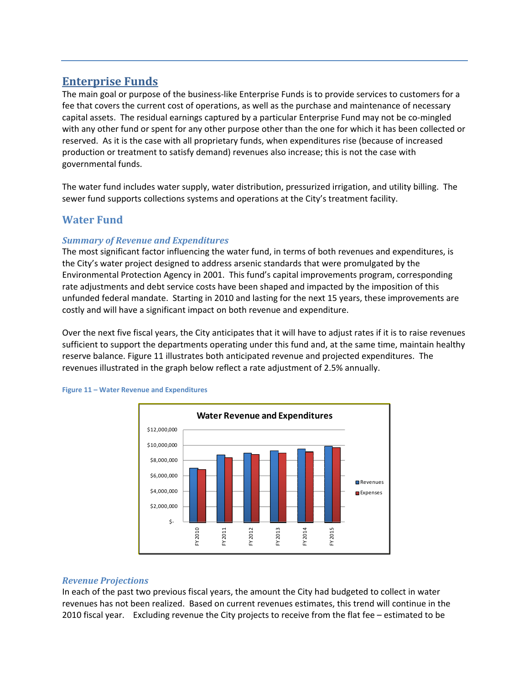# **Enterprise Funds**

The main goal or purpose of the business-like Enterprise Funds is to provide services to customers for a fee that covers the current cost of operations, as well as the purchase and maintenance of necessary capital assets. The residual earnings captured by a particular Enterprise Fund may not be co-mingled with any other fund or spent for any other purpose other than the one for which it has been collected or reserved. As it is the case with all proprietary funds, when expenditures rise (because of increased production or treatment to satisfy demand) revenues also increase; this is not the case with governmental funds.

The water fund includes water supply, water distribution, pressurized irrigation, and utility billing. The sewer fund supports collections systems and operations at the City's treatment facility.

# **Water Fund**

# *Summary of Revenue and Expenditures*

The most significant factor influencing the water fund, in terms of both revenues and expenditures, is the City's water project designed to address arsenic standards that were promulgated by the Environmental Protection Agency in 2001. This fund's capital improvements program, corresponding rate adjustments and debt service costs have been shaped and impacted by the imposition of this unfunded federal mandate. Starting in 2010 and lasting for the next 15 years, these improvements are costly and will have a significant impact on both revenue and expenditure.

Over the next five fiscal years, the City anticipates that it will have to adjust rates if it is to raise revenues sufficient to support the departments operating under this fund and, at the same time, maintain healthy reserve balance. Figure 11 illustrates both anticipated revenue and projected expenditures. The revenues illustrated in the graph below reflect a rate adjustment of 2.5% annually.



#### **Figure 11 – Water Revenue and Expenditures**

### *Revenue Projections*

In each of the past two previous fiscal years, the amount the City had budgeted to collect in water revenues has not been realized. Based on current revenues estimates, this trend will continue in the 2010 fiscal year. Excluding revenue the City projects to receive from the flat fee – estimated to be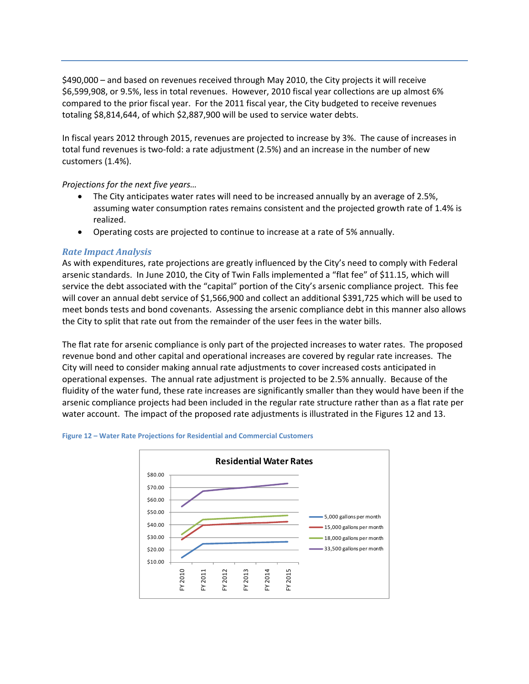\$490,000 – and based on revenues received through May 2010, the City projects it will receive \$6,599,908, or 9.5%, less in total revenues. However, 2010 fiscal year collections are up almost 6% compared to the prior fiscal year. For the 2011 fiscal year, the City budgeted to receive revenues totaling \$8,814,644, of which \$2,887,900 will be used to service water debts.

In fiscal years 2012 through 2015, revenues are projected to increase by 3%. The cause of increases in total fund revenues is two‐fold: a rate adjustment (2.5%) and an increase in the number of new customers (1.4%).

### *Projections for the next five years…*

- The City anticipates water rates will need to be increased annually by an average of 2.5%, assuming water consumption rates remains consistent and the projected growth rate of 1.4% is realized.
- Operating costs are projected to continue to increase at a rate of 5% annually.

## *Rate Impact Analysis*

As with expenditures, rate projections are greatly influenced by the City's need to comply with Federal arsenic standards. In June 2010, the City of Twin Falls implemented a "flat fee" of \$11.15, which will service the debt associated with the "capital" portion of the City's arsenic compliance project. This fee will cover an annual debt service of \$1,566,900 and collect an additional \$391,725 which will be used to meet bonds tests and bond covenants. Assessing the arsenic compliance debt in this manner also allows the City to split that rate out from the remainder of the user fees in the water bills.

The flat rate for arsenic compliance is only part of the projected increases to water rates. The proposed revenue bond and other capital and operational increases are covered by regular rate increases. The City will need to consider making annual rate adjustments to cover increased costs anticipated in operational expenses. The annual rate adjustment is projected to be 2.5% annually. Because of the fluidity of the water fund, these rate increases are significantly smaller than they would have been if the arsenic compliance projects had been included in the regular rate structure rather than as a flat rate per water account. The impact of the proposed rate adjustments is illustrated in the Figures 12 and 13.



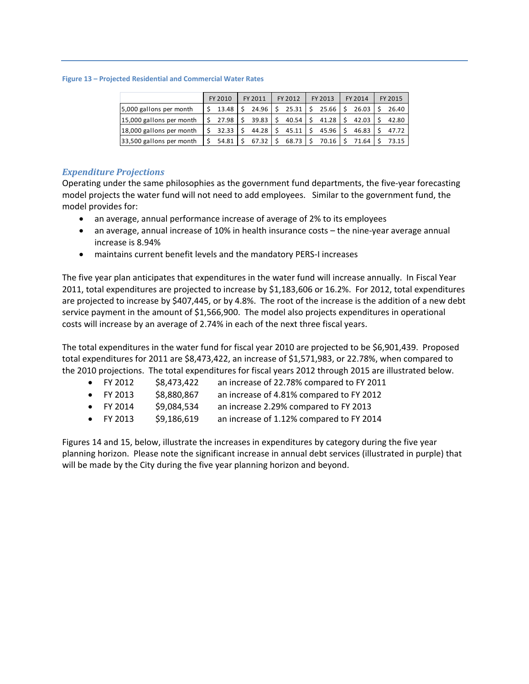#### **Figure 13 – Projected Residential and Commercial Water Rates**

|                          | FY 2010                | FY 2011           | FY 2012    | FY 2013                                                         | FY 2014 | FY 2015 |
|--------------------------|------------------------|-------------------|------------|-----------------------------------------------------------------|---------|---------|
| 5,000 gallons per month  |                        |                   |            | $\frac{1}{2}$ 13.48   \$ 24.96   \$ 25.31   \$ 25.66   \$ 26.03 |         | 26.40   |
| 15,000 gallons per month |                        |                   |            |                                                                 | 42.03   | 42.80   |
| 18,000 gallons per month | $\frac{1}{5}$ 32.33 \$ |                   |            | $44.28$ \$ 45.11 \$ 45.96 \$                                    | 46.83   | 47.72   |
| 33,500 gallons per month | $$54.81$ $$$           | $67.32$ $\mid$ \$ | $68.73$ \$ | $70.16$ $\frac{1}{5}$                                           | 71.64   | 73.15   |

### *Expenditure Projections*

Operating under the same philosophies as the government fund departments, the five‐year forecasting model projects the water fund will not need to add employees. Similar to the government fund, the model provides for:

- an average, annual performance increase of average of 2% to its employees
- an average, annual increase of 10% in health insurance costs the nine‐year average annual increase is 8.94%
- maintains current benefit levels and the mandatory PERS‐I increases

The five year plan anticipates that expenditures in the water fund will increase annually. In Fiscal Year 2011, total expenditures are projected to increase by \$1,183,606 or 16.2%. For 2012, total expenditures are projected to increase by \$407,445, or by 4.8%. The root of the increase is the addition of a new debt service payment in the amount of \$1,566,900. The model also projects expenditures in operational costs will increase by an average of 2.74% in each of the next three fiscal years.

The total expenditures in the water fund for fiscal year 2010 are projected to be \$6,901,439. Proposed total expenditures for 2011 are \$8,473,422, an increase of \$1,571,983, or 22.78%, when compared to the 2010 projections. The total expenditures for fiscal years 2012 through 2015 are illustrated below.

| $\bullet$ FY 2012 | \$8,473,422 | an increase of 22.78% compared to FY 2011 |
|-------------------|-------------|-------------------------------------------|
| $\bullet$ FY 2013 | \$8,880,867 | an increase of 4.81% compared to FY 2012  |
| $\bullet$ FY 2014 | \$9,084,534 | an increase 2.29% compared to FY 2013     |
| $\bullet$ FY 2013 | \$9,186,619 | an increase of 1.12% compared to FY 2014  |

Figures 14 and 15, below, illustrate the increases in expenditures by category during the five year planning horizon. Please note the significant increase in annual debt services (illustrated in purple) that will be made by the City during the five year planning horizon and beyond.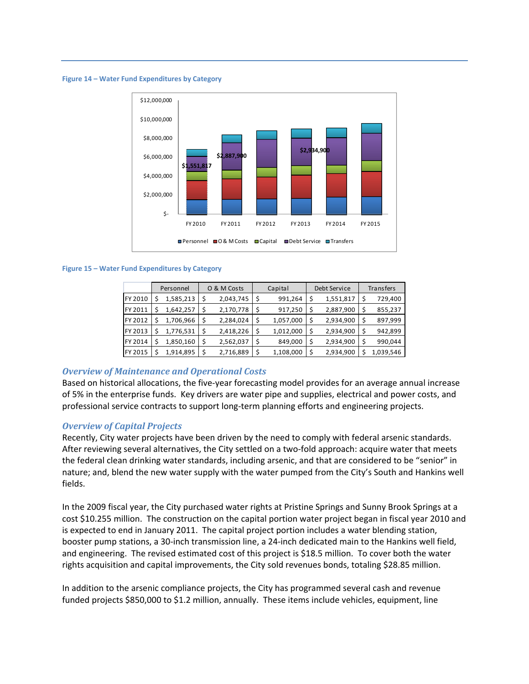**Figure 14 – Water Fund Expenditures by Category**



#### **Figure 15 – Water Fund Expenditures by Category**

|         | Personnel | O & M Costs |           |    | Capital   | Debt Service    | Transfers |           |  |  |
|---------|-----------|-------------|-----------|----|-----------|-----------------|-----------|-----------|--|--|
| FY 2010 | 1,585,213 | \$          | 2,043,745 | \$ | 991,264   | \$<br>1,551,817 |           | 729,400   |  |  |
| FY 2011 | 1,642,257 | \$          | 2,170,778 | \$ | 917,250   | \$<br>2,887,900 |           | 855,237   |  |  |
| FY 2012 | 1,706,966 | \$          | 2,284,024 | \$ | 1,057,000 | \$<br>2,934,900 |           | 897,999   |  |  |
| FY 2013 | 1,776,531 | \$          | 2,418,226 | \$ | 1,012,000 | \$<br>2,934,900 | \$        | 942,899   |  |  |
| FY 2014 | 1,850,160 | \$          | 2,562,037 | \$ | 849,000   | \$<br>2,934,900 | \$        | 990,044   |  |  |
| FY 2015 | 1,914,895 | \$          | 2,716,889 | \$ | 1,108,000 | \$<br>2,934,900 |           | 1,039,546 |  |  |

#### *Overview of Maintenance and Operational Costs*

Based on historical allocations, the five-year forecasting model provides for an average annual increase of 5% in the enterprise funds. Key drivers are water pipe and supplies, electrical and power costs, and professional service contracts to support long-term planning efforts and engineering projects.

#### *Overview of Capital Projects*

Recently, City water projects have been driven by the need to comply with federal arsenic standards. After reviewing several alternatives, the City settled on a two-fold approach: acquire water that meets the federal clean drinking water standards, including arsenic, and that are considered to be "senior" in nature; and, blend the new water supply with the water pumped from the City's South and Hankins well fields.

In the 2009 fiscal year, the City purchased water rights at Pristine Springs and Sunny Brook Springs at a cost \$10.255 million. The construction on the capital portion water project began in fiscal year 2010 and is expected to end in January 2011. The capital project portion includes a water blending station, booster pump stations, a 30‐inch transmission line, a 24‐inch dedicated main to the Hankins well field, and engineering. The revised estimated cost of this project is \$18.5 million. To cover both the water rights acquisition and capital improvements, the City sold revenues bonds, totaling \$28.85 million.

In addition to the arsenic compliance projects, the City has programmed several cash and revenue funded projects \$850,000 to \$1.2 million, annually. These items include vehicles, equipment, line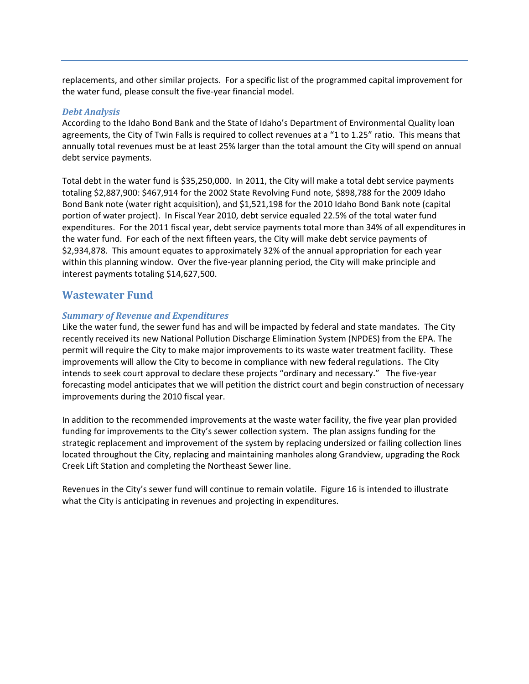replacements, and other similar projects. For a specific list of the programmed capital improvement for the water fund, please consult the five‐year financial model.

### *Debt Analysis*

According to the Idaho Bond Bank and the State of Idaho's Department of Environmental Quality loan agreements, the City of Twin Falls is required to collect revenues at a "1 to 1.25" ratio. This means that annually total revenues must be at least 25% larger than the total amount the City will spend on annual debt service payments.

Total debt in the water fund is \$35,250,000. In 2011, the City will make a total debt service payments totaling \$2,887,900: \$467,914 for the 2002 State Revolving Fund note, \$898,788 for the 2009 Idaho Bond Bank note (water right acquisition), and \$1,521,198 for the 2010 Idaho Bond Bank note (capital portion of water project). In Fiscal Year 2010, debt service equaled 22.5% of the total water fund expenditures. For the 2011 fiscal year, debt service payments total more than 34% of all expenditures in the water fund. For each of the next fifteen years, the City will make debt service payments of \$2,934,878. This amount equates to approximately 32% of the annual appropriation for each year within this planning window. Over the five-year planning period, the City will make principle and interest payments totaling \$14,627,500.

# **Wastewater Fund**

### *Summary of Revenue and Expenditures*

Like the water fund, the sewer fund has and will be impacted by federal and state mandates. The City recently received its new National Pollution Discharge Elimination System (NPDES) from the EPA. The permit will require the City to make major improvements to its waste water treatment facility. These improvements will allow the City to become in compliance with new federal regulations. The City intends to seek court approval to declare these projects "ordinary and necessary." The five‐year forecasting model anticipates that we will petition the district court and begin construction of necessary improvements during the 2010 fiscal year.

In addition to the recommended improvements at the waste water facility, the five year plan provided funding for improvements to the City's sewer collection system. The plan assigns funding for the strategic replacement and improvement of the system by replacing undersized or failing collection lines located throughout the City, replacing and maintaining manholes along Grandview, upgrading the Rock Creek Lift Station and completing the Northeast Sewer line.

Revenues in the City's sewer fund will continue to remain volatile. Figure 16 is intended to illustrate what the City is anticipating in revenues and projecting in expenditures.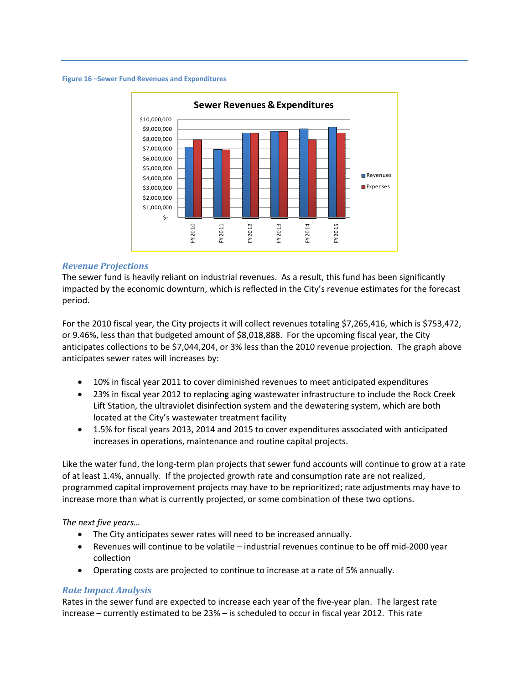#### **Figure 16 –Sewer Fund Revenues and Expenditures**



### *Revenue Projections*

The sewer fund is heavily reliant on industrial revenues. As a result, this fund has been significantly impacted by the economic downturn, which is reflected in the City's revenue estimates for the forecast period.

For the 2010 fiscal year, the City projects it will collect revenues totaling \$7,265,416, which is \$753,472, or 9.46%, less than that budgeted amount of \$8,018,888. For the upcoming fiscal year, the City anticipates collections to be \$7,044,204, or 3% less than the 2010 revenue projection. The graph above anticipates sewer rates will increases by:

- 10% in fiscal year 2011 to cover diminished revenues to meet anticipated expenditures
- 23% in fiscal year 2012 to replacing aging wastewater infrastructure to include the Rock Creek Lift Station, the ultraviolet disinfection system and the dewatering system, which are both located at the City's wastewater treatment facility
- 1.5% for fiscal years 2013, 2014 and 2015 to cover expenditures associated with anticipated increases in operations, maintenance and routine capital projects.

Like the water fund, the long‐term plan projects that sewer fund accounts will continue to grow at a rate of at least 1.4%, annually. If the projected growth rate and consumption rate are not realized, programmed capital improvement projects may have to be reprioritized; rate adjustments may have to increase more than what is currently projected, or some combination of these two options.

### *The next five years…*

- The City anticipates sewer rates will need to be increased annually.
- Revenues will continue to be volatile industrial revenues continue to be off mid‐2000 year collection
- Operating costs are projected to continue to increase at a rate of 5% annually.

### *Rate Impact Analysis*

Rates in the sewer fund are expected to increase each year of the five-year plan. The largest rate increase – currently estimated to be 23% – is scheduled to occur in fiscal year 2012. This rate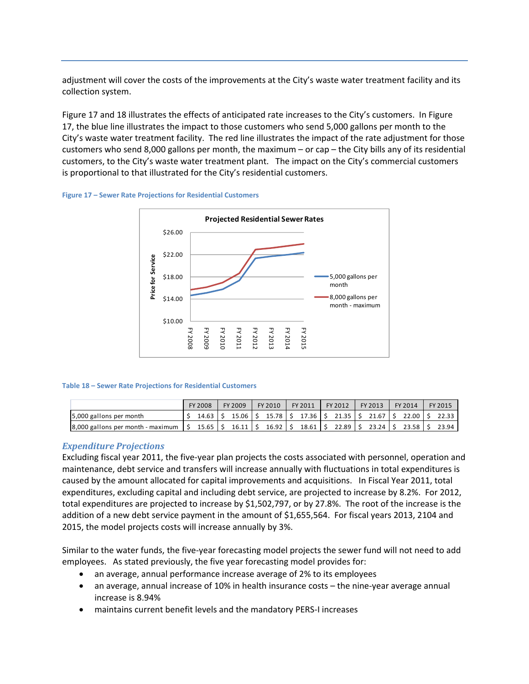adjustment will cover the costs of the improvements at the City's waste water treatment facility and its collection system.

Figure 17 and 18 illustrates the effects of anticipated rate increases to the City's customers. In Figure 17, the blue line illustrates the impact to those customers who send 5,000 gallons per month to the City's waste water treatment facility. The red line illustrates the impact of the rate adjustment for those customers who send 8,000 gallons per month, the maximum – or cap – the City bills any of its residential customers, to the City's waste water treatment plant. The impact on the City's commercial customers is proportional to that illustrated for the City's residential customers.





#### **Table 18 – Sewer Rate Projections for Residential Customers**

|                                                               | FY 2008   | FY 2009   | FY 2010 |         | FY 2011 |  | FY 2012                    | FY 2013   | FY 2014 | FY 2015 |       |
|---------------------------------------------------------------|-----------|-----------|---------|---------|---------|--|----------------------------|-----------|---------|---------|-------|
| 5,000 gallons per month                                       | 14.63     | $15.06$ S |         |         |         |  | 15.78 \$ 17.36 \$ 21.35 \$ | $21.67$ S | 22.00 S |         | 22.33 |
| $\frac{1}{2}$ 8,000 gallons per month - maximum $\frac{1}{2}$ | $15.65$ S | $16.11$ S |         | 16.92 S |         |  | 18.61 S 22.89 S            | $23.24$ S | 23.58 S |         | 23.94 |

#### *Expenditure Projections*

Excluding fiscal year 2011, the five‐year plan projects the costs associated with personnel, operation and maintenance, debt service and transfers will increase annually with fluctuations in total expenditures is caused by the amount allocated for capital improvements and acquisitions. In Fiscal Year 2011, total expenditures, excluding capital and including debt service, are projected to increase by 8.2%. For 2012, total expenditures are projected to increase by \$1,502,797, or by 27.8%. The root of the increase is the addition of a new debt service payment in the amount of \$1,655,564. For fiscal years 2013, 2104 and 2015, the model projects costs will increase annually by 3%.

Similar to the water funds, the five-year forecasting model projects the sewer fund will not need to add employees. As stated previously, the five year forecasting model provides for:

- an average, annual performance increase average of 2% to its employees
- an average, annual increase of 10% in health insurance costs the nine‐year average annual increase is 8.94%
- maintains current benefit levels and the mandatory PERS‐I increases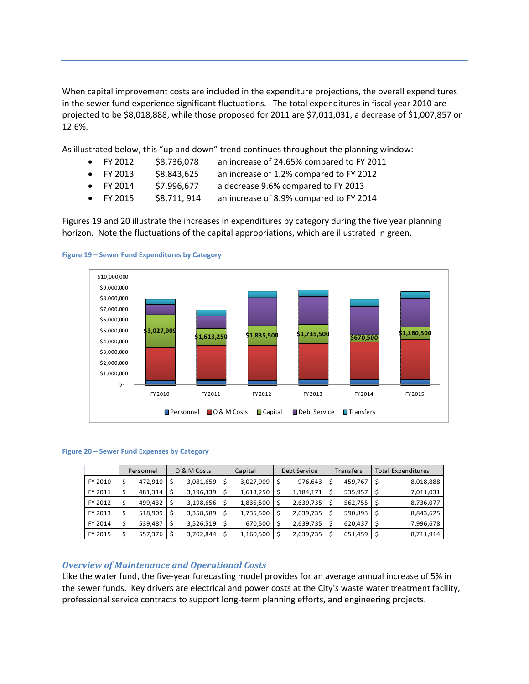When capital improvement costs are included in the expenditure projections, the overall expenditures in the sewer fund experience significant fluctuations. The total expenditures in fiscal year 2010 are projected to be \$8,018,888, while those proposed for 2011 are \$7,011,031, a decrease of \$1,007,857 or 12.6%.

As illustrated below, this "up and down" trend continues throughout the planning window:

- $\bullet$  FY 2012  $\lessgtr$  \$8,736,078 an increase of 24.65% compared to FY 2011
- 
- $\bullet$  FY 2013  $\frac{1}{2}$  \$8,843,625 an increase of 1.2% compared to FY 2012
- $\bullet$  FY 2014 \$7,996,677 a decrease 9.6% compared to FY 2013
	- FY 2015 \$8,711, 914 an increase of 8.9% compared to FY 2014

Figures 19 and 20 illustrate the increases in expenditures by category during the five year planning horizon. Note the fluctuations of the capital appropriations, which are illustrated in green.





#### **Figure 20 – Sewer Fund Expenses by Category**

|         | Personnel |                |  | O & M Costs | Capital   | Debt Service | <b>Transfers</b> | Total Expenditures |           |  |
|---------|-----------|----------------|--|-------------|-----------|--------------|------------------|--------------------|-----------|--|
| FY 2010 |           | $472,910$   \$ |  | 3,081,659   | 3,027,909 | 976,643      | 459,767          |                    | 8,018,888 |  |
| FY 2011 |           | 481,314        |  | 3,196,339   | 1,613,250 | 1,184,171    | 535,957          |                    | 7,011,031 |  |
| FY 2012 |           | 499,432        |  | 3,198,656   | 1,835,500 | 2,639,735    | 562,755          |                    | 8,736,077 |  |
| FY 2013 |           | 518,909        |  | 3,358,589   | 1,735,500 | 2,639,735    | 590,893          |                    | 8,843,625 |  |
| FY 2014 |           | 539,487        |  | 3,526,519   | 670,500   | 2,639,735    | 620,437          |                    | 7,996,678 |  |
| FY 2015 |           | 557,376        |  | 3,702,844   | 1,160,500 | 2,639,735    | 651,459          |                    | 8,711,914 |  |

# *Overview of Maintenance and Operational Costs*

Like the water fund, the five‐year forecasting model provides for an average annual increase of 5% in the sewer funds. Key drivers are electrical and power costs at the City's waste water treatment facility, professional service contracts to support long‐term planning efforts, and engineering projects.